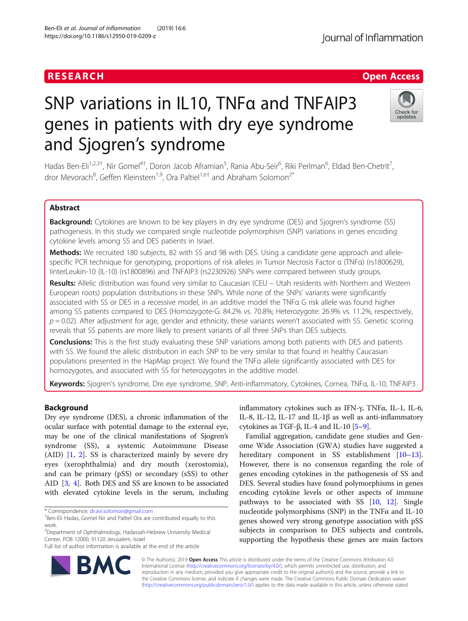# **RESEARCH CHE Open Access**

# SNP variations in IL10, TNFα and TNFAIP3 genes in patients with dry eye syndrome and Sjogren's syndrome

Hadas Ben-Eli<sup>1,2,3†</sup>, Nir Gomel<sup>4†</sup>, Doron Jacob Aframian<sup>5</sup>, Rania Abu-Seir<sup>6</sup>, Riki Perlman<sup>6</sup>, Eldad Ben-Chetrit<sup>7</sup> , dror Mevorach<sup>8</sup>, Geffen Kleinstern<sup>1,9</sup>, Ora Paltiel<sup>1,6†</sup> and Abraham Solomon<sup>2\*</sup>

# Abstract

**Background:** Cytokines are known to be key players in dry eye syndrome (DES) and Sjogren's syndrome (SS) pathogenesis. In this study we compared single nucleotide polymorphism (SNP) variations in genes encoding cytokine levels among SS and DES patients in Israel.

Methods: We recruited 180 subjects, 82 with SS and 98 with DES. Using a candidate gene approach and allelespecific PCR technique for genotyping, proportions of risk alleles in Tumor Necrosis Factor α (TNFα) (rs1800629), IinterLeukin-10 (IL-10) (rs1800896) and TNFAIP3 (rs2230926) SNPs were compared between study groups.

Results: Allelic distribution was found very similar to Caucasian (CEU – Utah residents with Northern and Western European roots) population distributions in these SNPs. While none of the SNPs' variants were significantly associated with SS or DES in a recessive model, in an additive model the TNFα G risk allele was found higher among SS patients compared to DES (Homozygote-G: 84.2% vs. 70.8%; Heterozygote: 26.9% vs. 11.2%, respectively,  $p = 0.02$ ). After adjustment for age, gender and ethnicity, these variants weren't associated with SS. Genetic scoring reveals that SS patients are more likely to present variants of all three SNPs than DES subjects.

**Conclusions:** This is the first study evaluating these SNP variations among both patients with DES and patients with SS. We found the allelic distribution in each SNP to be very similar to that found in healthy Caucasian populations presented in the HapMap project. We found the TNFα allele significantly associated with DES for homozygotes, and associated with SS for heterozygotes in the additive model.

Keywords: Sjogren's syndrome, Dre eye syndrome, SNP, Anti-inflammatory, Cytokines, Cornea, TNFa, IL-10, TNFAIP3

# Background

Dry eye syndrome (DES), a chronic inflammation of the ocular surface with potential damage to the external eye, may be one of the clinical manifestations of Sjogren's syndrome (SS), a systemic Autoimmune Disease (AID) [\[1](#page-4-0), [2](#page-4-0)]. SS is characterized mainly by severe dry eyes (xerophthalmia) and dry mouth (xerostomia), and can be primary (pSS) or secondary (sSS) to other AID [[3,](#page-4-0) [4](#page-4-0)]. Both DES and SS are known to be associated with elevated cytokine levels in the serum, including

\* Correspondence: [dr.avi.solomon@gmail.com](mailto:dr.avi.solomon@gmail.com) †

2 Department of Ophthalmology, Hadassah-Hebrew University Medical Center, POB 12000, 91120 Jerusalem, Israel

inflammatory cytokines such as IFN-γ, TNFα, IL-1, IL-6, IL-8, IL-12, IL-17 and IL-1 $\beta$  as well as anti-inflammatory cytokines as TGF-β, IL-4 and IL-10  $[5-9]$  $[5-9]$  $[5-9]$ .

Familial aggregation, candidate gene studies and Genome Wide Association (GWA) studies have suggested a hereditary component in SS establishment [[10](#page-5-0)–[13](#page-5-0)]. However, there is no consensus regarding the role of genes encoding cytokines in the pathogenesis of SS and DES. Several studies have found polymorphisms in genes encoding cytokine levels or other aspects of immune pathways to be associated with SS [\[10](#page-5-0), [12\]](#page-5-0). Single nucleotide polymorphisms (SNP) in the TNFα and IL-10 genes showed very strong genotype association with pSS subjects in comparison to DES subjects and controls, supporting the hypothesis these genes are main factors

© The Author(s). 2019 **Open Access** This article is distributed under the terms of the Creative Commons Attribution 4.0 International License [\(http://creativecommons.org/licenses/by/4.0/](http://creativecommons.org/licenses/by/4.0/)), which permits unrestricted use, distribution, and reproduction in any medium, provided you give appropriate credit to the original author(s) and the source, provide a link to the Creative Commons license, and indicate if changes were made. The Creative Commons Public Domain Dedication waiver [\(http://creativecommons.org/publicdomain/zero/1.0/](http://creativecommons.org/publicdomain/zero/1.0/)) applies to the data made available in this article, unless otherwise stated.





<sup>&</sup>lt;sup>+</sup>Ben-Eli Hadas, Gomel Nir and Paltiel Ora are contributed equally to this work.

Full list of author information is available at the end of the article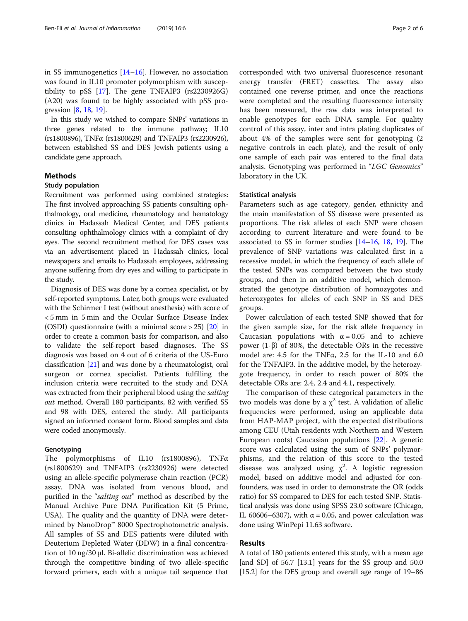in SS immunogenetics [[14](#page-5-0)–[16](#page-5-0)]. However, no association was found in IL10 promoter polymorphism with susceptibility to pSS [\[17\]](#page-5-0). The gene TNFAIP3 (rs2230926G) (A20) was found to be highly associated with pSS progression [\[8](#page-4-0), [18](#page-5-0), [19\]](#page-5-0).

In this study we wished to compare SNPs' variations in three genes related to the immune pathway; IL10 (rs1800896), TNFα (rs1800629) and TNFAIP3 (rs2230926), between established SS and DES Jewish patients using a candidate gene approach.

# Methods

#### Study population

Recruitment was performed using combined strategies: The first involved approaching SS patients consulting ophthalmology, oral medicine, rheumatology and hematology clinics in Hadassah Medical Center, and DES patients consulting ophthalmology clinics with a complaint of dry eyes. The second recruitment method for DES cases was via an advertisement placed in Hadassah clinics, local newspapers and emails to Hadassah employees, addressing anyone suffering from dry eyes and willing to participate in the study.

Diagnosis of DES was done by a cornea specialist, or by self-reported symptoms. Later, both groups were evaluated with the Schirmer I test (without anesthesia) with score of < 5 mm in 5 min and the Ocular Surface Disease Index (OSDI) questionnaire (with a minimal score > 25) [\[20\]](#page-5-0) in order to create a common basis for comparison, and also to validate the self-report based diagnoses. The SS diagnosis was based on 4 out of 6 criteria of the US-Euro classification [[21](#page-5-0)] and was done by a rheumatologist, oral surgeon or cornea specialist. Patients fulfilling the inclusion criteria were recruited to the study and DNA was extracted from their peripheral blood using the salting out method. Overall 180 participants, 82 with verified SS and 98 with DES, entered the study. All participants signed an informed consent form. Blood samples and data were coded anonymously.

# **Genotyping**

The polymorphisms of IL10 (rs1800896), TNFα (rs1800629) and TNFAIP3 (rs2230926) were detected using an allele-specific polymerase chain reaction (PCR) assay. DNA was isolated from venous blood, and purified in the "salting out" method as described by the Manual Archive Pure DNA Purification Kit (5 Prime, USA). The quality and the quantity of DNA were determined by NanoDrop™ 8000 Spectrophotometric analysis. All samples of SS and DES patients were diluted with Deuterium Depleted Water (DDW) in a final concentration of 10 ng/30 μl. Bi-allelic discrimination was achieved through the competitive binding of two allele-specific forward primers, each with a unique tail sequence that corresponded with two universal fluorescence resonant energy transfer (FRET) cassettes. The assay also contained one reverse primer, and once the reactions were completed and the resulting fluorescence intensity has been measured, the raw data was interpreted to enable genotypes for each DNA sample. For quality control of this assay, inter and intra plating duplicates of about 4% of the samples were sent for genotyping (2 negative controls in each plate), and the result of only one sample of each pair was entered to the final data analysis. Genotyping was performed in "LGC Genomics" laboratory in the UK.

## Statistical analysis

Parameters such as age category, gender, ethnicity and the main manifestation of SS disease were presented as proportions. The risk alleles of each SNP were chosen according to current literature and were found to be associated to SS in former studies [[14](#page-5-0)–[16](#page-5-0), [18](#page-5-0), [19](#page-5-0)]. The prevalence of SNP variations was calculated first in a recessive model, in which the frequency of each allele of the tested SNPs was compared between the two study groups, and then in an additive model, which demonstrated the genotype distribution of homozygotes and heterozygotes for alleles of each SNP in SS and DES groups.

Power calculation of each tested SNP showed that for the given sample size, for the risk allele frequency in Caucasian populations with  $\alpha = 0.05$  and to achieve power (1-β) of 80%, the detectable ORs in the recessive model are: 4.5 for the TNF $\alpha$ , 2.5 for the IL-10 and 6.0 for the TNFAIP3. In the additive model, by the heterozygote frequency, in order to reach power of 80% the detectable ORs are: 2.4, 2.4 and 4.1, respectively.

The comparison of these categorical parameters in the two models was done by a  $\chi^2$  test. A validation of allelic frequencies were performed, using an applicable data from HAP-MAP project, with the expected distributions among CEU (Utah residents with Northern and Western European roots) Caucasian populations [\[22](#page-5-0)]. A genetic score was calculated using the sum of SNPs' polymorphisms, and the relation of this score to the tested disease was analyzed using  $\chi^2$ . A logistic regression model, based on additive model and adjusted for confounders, was used in order to demonstrate the OR (odds ratio) for SS compared to DES for each tested SNP. Statistical analysis was done using SPSS 23.0 software (Chicago, IL 60606–6307), with  $\alpha$  = 0.05, and power calculation was done using WinPepi 11.63 software.

# Results

A total of 180 patients entered this study, with a mean age [and SD] of 56.7 [13.1] years for the SS group and 50.0 [15.2] for the DES group and overall age range of 19–86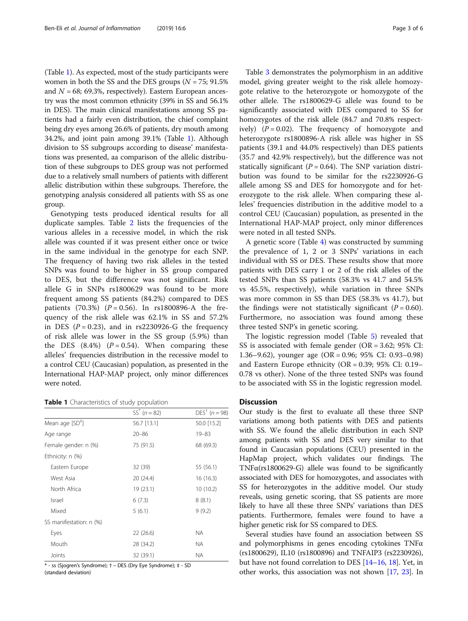(Table 1). As expected, most of the study participants were women in both the SS and the DES groups  $(N = 75; 91.5\%)$ and  $N = 68$ ; 69.3%, respectively). Eastern European ancestry was the most common ethnicity (39% in SS and 56.1% in DES). The main clinical manifestations among SS patients had a fairly even distribution, the chief complaint being dry eyes among 26.6% of patients, dry mouth among 34.2%, and joint pain among 39.1% (Table 1). Although division to SS subgroups according to disease' manifestations was presented, aa comparison of the allelic distribution of these subgroups to DES group was not performed due to a relatively small numbers of patients with different allelic distribution within these subgroups. Therefore, the genotyping analysis considered all patients with SS as one group.

Genotyping tests produced identical results for all duplicate samples. Table [2](#page-3-0) lists the frequencies of the various alleles in a recessive model, in which the risk allele was counted if it was present either once or twice in the same individual in the genotype for each SNP. The frequency of having two risk alleles in the tested SNPs was found to be higher in SS group compared to DES, but the difference was not significant. Risk allele G in SNPs rs1800629 was found to be more frequent among SS patients (84.2%) compared to DES patients (70.3%) ( $P = 0.56$ ). In rs1800896-A the frequency of the risk allele was 62.1% in SS and 57.2% in DES ( $P = 0.23$ ), and in rs2230926-G the frequency of risk allele was lower in the SS group (5.9%) than the DES  $(8.4\%)$   $(P = 0.54)$ . When comparing these alleles' frequencies distribution in the recessive model to a control CEU (Caucasian) population, as presented in the International HAP-MAP project, only minor differences were noted.

### Table 1 Characteristics of study population

|                         | $SS^*$ ( $n = 82$ ) | $DES^{+}$ (n = 98) |
|-------------------------|---------------------|--------------------|
| Mean age $[SD^+]$       | 56.7 [13.1]         | 50.0 [15.2]        |
| Age range               | $20 - 86$           | $19 - 83$          |
| Female gender: n (%)    | 75 (91.5)           | 68 (69.3)          |
| Ethnicity: $n$ (%)      |                     |                    |
| Eastern Europe          | 32 (39)             | 55 (56.1)          |
| West Asia               | 20 (24.4)           | 16 (16.3)          |
| North Africa            | 19 (23.1)           | 10(10.2)           |
| Israel                  | 6(7.3)              | 8(8.1)             |
| Mixed                   | 5(6.1)              | 9(9.2)             |
| SS manifestation: n (%) |                     |                    |
| Eyes                    | 22(26.6)            | NA.                |
| Mouth                   | 28 (34.2)           | NA.                |
| Joints                  | 32 (39.1)           | <b>NA</b>          |
|                         |                     |                    |

\* - ss (Sjogren's Syndrome); † − DES (Dry Eye Syndrome); ‡ - SD

(standard deviation)

Table [3](#page-3-0) demonstrates the polymorphism in an additive model, giving greater weight to the risk allele homozygote relative to the heterozygote or homozygote of the other allele. The rs1800629-G allele was found to be significantly associated with DES compared to SS for homozygotes of the risk allele (84.7 and 70.8% respectively)  $(P = 0.02)$ . The frequency of homozygote and heterozygote rs1800896-A risk allele was higher in SS patients (39.1 and 44.0% respectively) than DES patients (35.7 and 42.9% respectively), but the difference was not statically significant ( $P = 0.64$ ). The SNP variation distribution was found to be similar for the rs2230926-G allele among SS and DES for homozygote and for heterozygote to the risk allele. When comparing these alleles' frequencies distribution in the additive model to a control CEU (Caucasian) population, as presented in the International HAP-MAP project, only minor differences were noted in all tested SNPs.

A genetic score (Table [4](#page-3-0)) was constructed by summing the prevalence of 1, 2 or 3 SNPs' variations in each individual with SS or DES. These results show that more patients with DES carry 1 or 2 of the risk alleles of the tested SNPs than SS patients (58.3% vs 41.7 and 54.5% vs 45.5%, respectively), while variation in three SNPs was more common in SS than DES (58.3% vs 41.7), but the findings were not statistically significant  $(P = 0.60)$ . Furthermore, no association was found among these three tested SNP's in genetic scoring.

The logistic regression model (Table [5\)](#page-4-0) revealed that SS is associated with female gender (OR = 3.62; 95% CI: 1.36–9.62), younger age (OR = 0.96; 95% CI: 0.93–0.98) and Eastern Europe ethnicity (OR = 0.39; 95% CI: 0.19– 0.78 vs other). None of the three tested SNPs was found to be associated with SS in the logistic regression model.

# **Discussion**

Our study is the first to evaluate all these three SNP variations among both patients with DES and patients with SS. We found the allelic distribution in each SNP among patients with SS and DES very similar to that found in Caucasian populations (CEU) presented in the HapMap project, which validates our findings. The TNF $\alpha$ (rs1800629-G) allele was found to be significantly associated with DES for homozygotes, and associates with SS for heterozygotes in the additive model. Our study reveals, using genetic scoring, that SS patients are more likely to have all these three SNPs' variations than DES patients. Furthermore, females were found to have a higher genetic risk for SS compared to DES.

Several studies have found an association between SS and polymorphisms in genes encoding cytokines TNFα (rs1800629), IL10 (rs1800896) and TNFAIP3 (rs2230926), but have not found correlation to DES [[14](#page-5-0)–[16,](#page-5-0) [18](#page-5-0)]. Yet, in other works, this association was not shown [[17](#page-5-0), [23\]](#page-5-0). In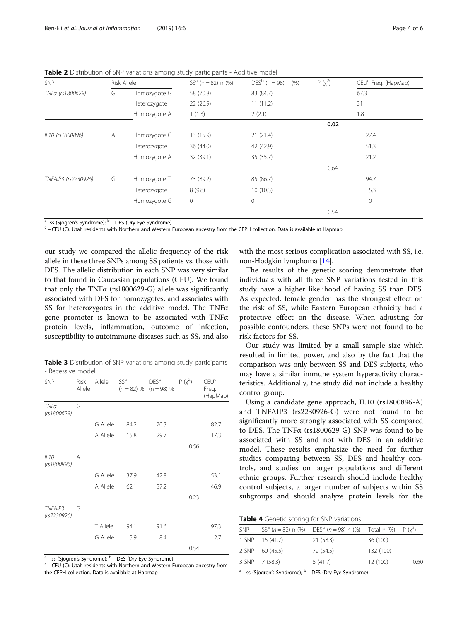<span id="page-3-0"></span>

| Table 2 Distribution of SNP variations among study participants - Additive model |  |
|----------------------------------------------------------------------------------|--|
|----------------------------------------------------------------------------------|--|

| <b>SNP</b>          |   | Risk Allele  | $SSa$ (n = 82) n (%) | $DESb$ (n = 98) n (%) | $P (x^2)$ | CEU <sup>c</sup> Freg. (HapMap) |
|---------------------|---|--------------|----------------------|-----------------------|-----------|---------------------------------|
| TNFa (rs1800629)    | G | Homozygote G | 58 (70.8)            | 83 (84.7)             |           | 67.3                            |
|                     |   | Heterozygote | 22(26.9)             | 11(11.2)              |           | 31                              |
|                     |   | Homozygote A | 1(1.3)               | 2(2.1)                |           | 1.8                             |
|                     |   |              |                      |                       | 0.02      |                                 |
| IL10 (rs1800896)    | Α | Homozygote G | 13 (15.9)            | 21(21.4)              |           | 27.4                            |
|                     |   | Heterozygote | 36 (44.0)            | 42 (42.9)             |           | 51.3                            |
|                     |   | Homozygote A | 32 (39.1)            | 35 (35.7)             |           | 21.2                            |
|                     |   |              |                      |                       | 0.64      |                                 |
| TNFAIP3 (rs2230926) | G | Homozygote T | 73 (89.2)            | 85 (86.7)             |           | 94.7                            |
|                     |   | Heterozygote | 8(9.8)               | 10(10.3)              |           | 5.3                             |
|                     |   | Homozygote G | $\circ$              | 0                     |           | $\circ$                         |
|                     |   |              |                      |                       | 0.54      |                                 |

 $\frac{a}{a}$ - ss (Sjogren's Syndrome);  $\frac{b}{c}$  – DES (Dry Eye Syndrome)

<sup>c</sup> − CEU (C): Utah residents with Northern and Western European ancestry from the CEPH collection. Data is available at Hapmap

our study we compared the allelic frequency of the risk allele in these three SNPs among SS patients vs. those with DES. The allelic distribution in each SNP was very similar to that found in Caucasian populations (CEU). We found that only the TNF $\alpha$  (rs1800629-G) allele was significantly associated with DES for homozygotes, and associates with SS for heterozygotes in the additive model. The TNFα gene promoter is known to be associated with TNFα protein levels, inflammation, outcome of infection, susceptibility to autoimmune diseases such as SS, and also

| <b>Table 3</b> Distribution of SNP variations among study participants |  |  |  |
|------------------------------------------------------------------------|--|--|--|
| - Recessive model                                                      |  |  |  |

| <b>SNP</b>                 | <b>Risk</b><br>Allele | Allele   | SS <sup>a</sup> | DES <sup>b</sup><br>$(n = 82)$ % $(n = 98)$ % | $P (x^2)$ | CEU <sup>c</sup><br>Freq.<br>(HapMap) |
|----------------------------|-----------------------|----------|-----------------|-----------------------------------------------|-----------|---------------------------------------|
| <b>TNFa</b><br>(rs1800629) | G                     |          |                 |                                               |           |                                       |
|                            |                       | G Allele | 84.2            | 70.3                                          |           | 82.7                                  |
|                            |                       | A Allele | 15.8            | 29.7                                          |           | 17.3                                  |
|                            |                       |          |                 |                                               | 0.56      |                                       |
| IL10<br>(rs1800896)        | A                     |          |                 |                                               |           |                                       |
|                            |                       | G Allele | 37.9            | 42.8                                          |           | 53.1                                  |
|                            |                       | A Allele | 62.1            | 57.2                                          |           | 46.9                                  |
|                            |                       |          |                 |                                               | 0.23      |                                       |
| TNFAIP3<br>(rs2230926)     | G                     |          |                 |                                               |           |                                       |
|                            |                       | T Allele | 94.1            | 91.6                                          |           | 97.3                                  |
|                            |                       | G Allele | 5.9             | 8.4                                           |           | 2.7                                   |
|                            |                       |          |                 |                                               | 0.54      |                                       |

<sup>a</sup> - ss (Sjogren's Syndrome); <sup>b</sup> − DES (Dry Eye Syndrome)<br><sup>c</sup> − CEU (C): Utah residents with Northern and Western European ancestry from the CEPH collection. Data is available at Hapmap

with the most serious complication associated with SS, i.e. non-Hodgkin lymphoma [[14](#page-5-0)].

The results of the genetic scoring demonstrate that individuals with all three SNP variations tested in this study have a higher likelihood of having SS than DES. As expected, female gender has the strongest effect on the risk of SS, while Eastern European ethnicity had a protective effect on the disease. When adjusting for possible confounders, these SNPs were not found to be risk factors for SS.

Our study was limited by a small sample size which resulted in limited power, and also by the fact that the comparison was only between SS and DES subjects, who may have a similar immune system hyperactivity characteristics. Additionally, the study did not include a healthy control group.

Using a candidate gene approach, IL10 (rs1800896-A) and TNFAIP3 (rs2230926-G) were not found to be significantly more strongly associated with SS compared to DES. The TNFα (rs1800629-G) SNP was found to be associated with SS and not with DES in an additive model. These results emphasize the need for further studies comparing between SS, DES and healthy controls, and studies on larger populations and different ethnic groups. Further research should include healthy control subjects, a larger number of subjects within SS subgroups and should analyze protein levels for the

| Table 4 Genetic scoring for SNP variations |  |  |  |  |
|--------------------------------------------|--|--|--|--|
|--------------------------------------------|--|--|--|--|

| <b>SNP</b> |                 | SS <sup>a</sup> (n = 82) n (%) DES <sup>b</sup> (n = 98) n (%) Total n (%) P ( $\chi^2$ ) |           |      |
|------------|-----------------|-------------------------------------------------------------------------------------------|-----------|------|
|            | 1 SNP 15 (41.7) | 21 (58.3)                                                                                 | 36 (100)  |      |
|            | 2 SNP 60 (45.5) | 72 (54.5)                                                                                 | 132 (100) |      |
|            | 3 SNP 7 (58.3)  | 5(41.7)                                                                                   | 12 (100)  | 0.60 |

<sup>a</sup> - ss (Sjogren's Syndrome); <sup>b</sup> – DES (Dry Eye Syndrome)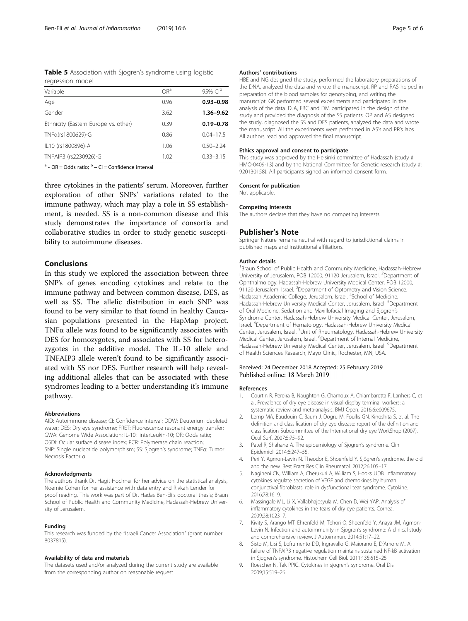<span id="page-4-0"></span>

| <b>Table 5</b> Association with Sjogren's syndrome using logistic |  |  |  |
|-------------------------------------------------------------------|--|--|--|
| regression model                                                  |  |  |  |

| Variable                             | OR <sup>a</sup> | 95% CI <sup>b</sup> |
|--------------------------------------|-----------------|---------------------|
| Age                                  | 0.96            | $0.93 - 0.98$       |
| Gender                               | 3.62            | 1.36-9.62           |
| Ethnicity (Eastern Europe vs. other) | 0.39            | $0.19 - 0.78$       |
| TNFa(rs1800629)-G                    | 0.86            | $0.04 - 17.5$       |
| IL10 (rs1800896)-A                   | 1.06            | $0.50 - 2.24$       |
| TNFAIP3 (rs2230926)-G                | 1.02            | $0.33 - 3.15$       |

 $a - OR = Odds$  ratio;  $b - CI = Confidence$  interval

three cytokines in the patients' serum. Moreover, further exploration of other SNPs' variations related to the immune pathway, which may play a role in SS establishment, is needed. SS is a non-common disease and this study demonstrates the importance of consortia and collaborative studies in order to study genetic susceptibility to autoimmune diseases.

# Conclusions

In this study we explored the association between three SNP's of genes encoding cytokines and relate to the immune pathway and between common disease, DES, as well as SS. The allelic distribution in each SNP was found to be very similar to that found in healthy Caucasian populations presented in the HapMap project. TNFα allele was found to be significantly associates with DES for homozygotes, and associates with SS for heterozygotes in the additive model. The IL-10 allele and TNFAIP3 allele weren't found to be significantly associated with SS nor DES. Further research will help revealing additional alleles that can be associated with these syndromes leading to a better understanding it's immune pathway.

### Abbreviations

AID: Autoimmune disease; CI: Confidence interval; DDW: Deuterium depleted water; DES: Dry eye syndrome; FRET: Fluorescence resonant energy transfer; GWA: Genome Wide Association; IL-10: IinterLeukin-10; OR: Odds ratio; OSDI: Ocular surface disease index; PCR: Polymerase chain reaction; SNP: Single nucleotide polymorphism; SS: Sjogren's syndrome; TNFα: Tumor Necrosis Factor α

#### Acknowledgments

The authors thank Dr. Hagit Hochner for her advice on the statistical analysis, Noemie Cohen for her assistance with data entry and Rivkah Lender for proof reading. This work was part of Dr. Hadas Ben-Eli's doctoral thesis; Braun School of Public Health and Community Medicine, Hadassah-Hebrew University of Jerusalem.

#### Funding

This research was funded by the "Israeli Cancer Association" (grant number: 8037815).

#### Availability of data and materials

The datasets used and/or analyzed during the current study are available from the corresponding author on reasonable request.

### Authors' contributions

HBE and NG designed the study, performed the laboratory preparations of the DNA, analyzed the data and wrote the manuscript. RP and RAS helped in preparation of the blood samples for genotyping, and writing the manuscript. GK performed several experiments and participated in the analysis of the data. DJA, EBC and DM participated in the design of the study and provided the diagnosis of the SS patients. OP and AS designed the study, diagnosed the SS and DES patients, analyzed the data and wrote the manuscript. All the experiments were performed in AS's and PR's labs. All authors read and approved the final manuscript.

#### Ethics approval and consent to participate

This study was approved by the Helsinki committee of Hadassah (study #: HMO-0409-13) and by the National Committee for Genetic research (study #: 920130158). All participants signed an informed consent form.

#### Consent for publication

Not applicable.

#### Competing interests

The authors declare that they have no competing interests.

#### Publisher's Note

Springer Nature remains neutral with regard to jurisdictional claims in published maps and institutional affiliations.

#### Author details

<sup>1</sup> Braun School of Public Health and Community Medicine, Hadassah-Hebrew University of Jerusalem, POB 12000, 91120 Jerusalem, Israel. <sup>2</sup>Department of Ophthalmology, Hadassah-Hebrew University Medical Center, POB 12000, 91120 Jerusalem, Israel. <sup>3</sup>Department of Optometry and Vision Science, Hadassah Academic College, Jerusalem, Israel. <sup>4</sup>School of Medicine Hadassah-Hebrew University Medical Center, Jerusalem, Israel. <sup>5</sup>Department of Oral Medicine, Sedation and Maxillofacial Imaging and Sjogren's Syndrome Center, Hadassah-Hebrew University Medical Center, Jerusalem, Israel. <sup>6</sup> Department of Hematology, Hadassah-Hebrew University Medical Center, Jerusalem, Israel. <sup>7</sup>Unit of Rheumatology, Hadassah-Hebrew University Medical Center, Jerusalem, Israel. <sup>8</sup>Department of Internal Medicine, Hadassah-Hebrew University Medical Center, Jerusalem, Israel. <sup>9</sup>Department of Health Sciences Research, Mayo Clinic, Rochester, MN, USA.

# Received: 24 December 2018 Accepted: 25 February 2019 Published online: 18 March 2019

#### References

- 1. Courtin R, Pereira B, Naughton G, Chamoux A, Chiambaretta F, Lanhers C, et al. Prevalence of dry eye disease in visual display terminal workers: a systematic review and meta-analysis. BMJ Open. 2016;6:e009675.
- 2. Lemp MA, Baudouin C, Baum J, Dogru M, Foulks GN, Kinoshita S, et al. The definition and classification of dry eye disease: report of the definition and classification Subcommittee of the International dry eye WorkShop (2007). Ocul Surf. 2007;5:75–92.
- 3. Patel R, Shahane A. The epidemiology of Sjogren's syndrome. Clin Epidemiol. 2014;6:247–55.
- 4. Peri Y, Agmon-Levin N, Theodor E, Shoenfeld Y. Sjögren's syndrome, the old and the new. Best Pract Res Clin Rheumatol. 2012;26:105–17.
- 5. Nagineni CN, William A, Cherukuri A, William S, Hooks JJDB. Inflammatory cytokines regulate secretion of VEGF and chemokines by human conjunctival fibroblasts: role in dysfunctional tear syndrome. Cytokine. 2016;78:16–9.
- 6. Massingale ML, Li X, Vallabhajosyula M, Chen D, Wei YAP. Analysis of inflammatory cytokines in the tears of dry eye patients. Cornea. 2009;28:1023–7.
- 7. Kivity S, Arango MT, Ehrenfeld M, Tehori O, Shoenfeld Y, Anaya JM, Agmon-Levin N. Infection and autoimmunity in Sjogren's syndrome: A clinical study and comprehensive review. J Autoimmun. 2014;51:17–22.
- 8. Sisto M, Lisi S, Lofrumento DD, Ingravallo G, Maiorano E, D'Amore M. A failure of TNFAIP3 negative regulation maintains sustained NF-kB activation in Sjogren's syndrome. Histochem Cell Biol. 2011;135:615–25.
- 9. Roescher N, Tak PPIG. Cytokines in sjogren's syndrome. Oral Dis. 2009;15:519–26.